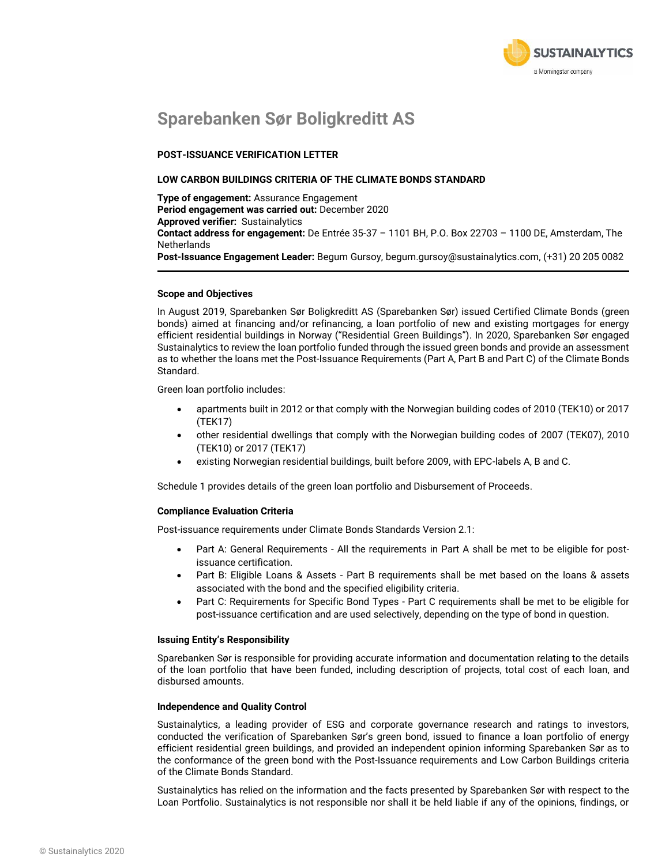

## **Sparebanken Sør Boligkreditt AS**

### **POST-ISSUANCE VERIFICATION LETTER**

#### **LOW CARBON BUILDINGS CRITERIA OF THE CLIMATE BONDS STANDARD**

**Type of engagement:** Assurance Engagement **Period engagement was carried out:** December 2020 **Approved verifier:** Sustainalytics **Contact address for engagement:** De Entrée 35-37 – 1101 BH, P.O. Box 22703 – 1100 DE, Amsterdam, The **Netherlands Post-Issuance Engagement Leader:** Begum Gursoy, begum.gursoy@sustainalytics.com, (+31) 20 205 0082

#### **Scope and Objectives**

In August 2019, Sparebanken Sør Boligkreditt AS (Sparebanken Sør) issued Certified Climate Bonds (green bonds) aimed at financing and/or refinancing, a loan portfolio of new and existing mortgages for energy efficient residential buildings in Norway ("Residential Green Buildings"). In 2020, Sparebanken Sør engaged Sustainalytics to review the loan portfolio funded through the issued green bonds and provide an assessment as to whether the loans met the Post-Issuance Requirements (Part A, Part B and Part C) of the Climate Bonds Standard.

Green loan portfolio includes:

- apartments built in 2012 or that comply with the Norwegian building codes of 2010 (TEK10) or 2017 (TEK17)
- other residential dwellings that comply with the Norwegian building codes of 2007 (TEK07), 2010 (TEK10) or 2017 (TEK17)
- existing Norwegian residential buildings, built before 2009, with EPC-labels A, B and C.

Schedule 1 provides details of the green loan portfolio and Disbursement of Proceeds.

#### **Compliance Evaluation Criteria**

Post-issuance requirements under Climate Bonds Standards Version 2.1:

- Part A: General Requirements All the requirements in Part A shall be met to be eligible for postissuance certification.
- Part B: Eligible Loans & Assets Part B requirements shall be met based on the loans & assets associated with the bond and the specified eligibility criteria.
- Part C: Requirements for Specific Bond Types Part C requirements shall be met to be eligible for post-issuance certification and are used selectively, depending on the type of bond in question.

#### **Issuing Entity's Responsibility**

Sparebanken Sør is responsible for providing accurate information and documentation relating to the details of the loan portfolio that have been funded, including description of projects, total cost of each loan, and disbursed amounts.

#### **Independence and Quality Control**

Sustainalytics, a leading provider of ESG and corporate governance research and ratings to investors, conducted the verification of Sparebanken Sør's green bond, issued to finance a loan portfolio of energy efficient residential green buildings, and provided an independent opinion informing Sparebanken Sør as to the conformance of the green bond with the Post-Issuance requirements and Low Carbon Buildings criteria of the Climate Bonds Standard.

Sustainalytics has relied on the information and the facts presented by Sparebanken Sør with respect to the Loan Portfolio. Sustainalytics is not responsible nor shall it be held liable if any of the opinions, findings, or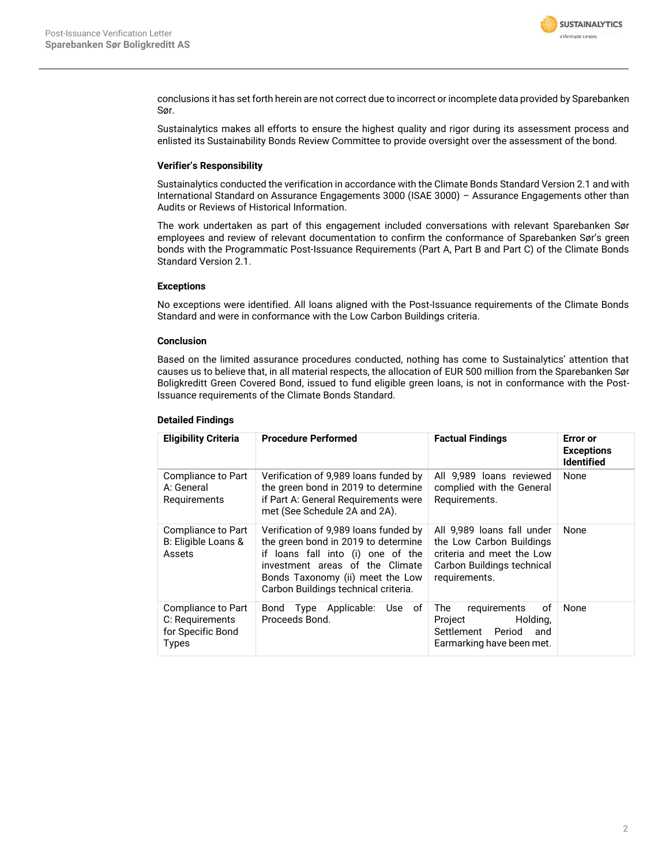

conclusions it has set forth herein are not correct due to incorrect or incomplete data provided by Sparebanken Sør.

Sustainalytics makes all efforts to ensure the highest quality and rigor during its assessment process and enlisted its Sustainability Bonds Review Committee to provide oversight over the assessment of the bond.

### **Verifier's Responsibility**

Sustainalytics conducted the verification in accordance with the Climate Bonds Standard Version 2.1 and with International Standard on Assurance Engagements 3000 (ISAE 3000) – Assurance Engagements other than Audits or Reviews of Historical Information.

The work undertaken as part of this engagement included conversations with relevant Sparebanken Sør employees and review of relevant documentation to confirm the conformance of Sparebanken Sør's green bonds with the Programmatic Post-Issuance Requirements (Part A, Part B and Part C) of the Climate Bonds Standard Version 2.1.

### **Exceptions**

No exceptions were identified. All loans aligned with the Post-Issuance requirements of the Climate Bonds Standard and were in conformance with the Low Carbon Buildings criteria.

### **Conclusion**

Based on the limited assurance procedures conducted, nothing has come to Sustainalytics' attention that causes us to believe that, in all material respects, the allocation of EUR 500 million from the Sparebanken Sør Boligkreditt Green Covered Bond, issued to fund eligible green loans, is not in conformance with the Post-Issuance requirements of the Climate Bonds Standard.

### **Detailed Findings**

| <b>Eligibility Criteria</b>                                         | <b>Procedure Performed</b>                                                                                                                                                                                                       | <b>Factual Findings</b>                                                                                                            | Error or<br><b>Exceptions</b><br><b>Identified</b> |
|---------------------------------------------------------------------|----------------------------------------------------------------------------------------------------------------------------------------------------------------------------------------------------------------------------------|------------------------------------------------------------------------------------------------------------------------------------|----------------------------------------------------|
| Compliance to Part<br>A: General<br>Requirements                    | Verification of 9,989 loans funded by<br>the green bond in 2019 to determine<br>if Part A: General Requirements were<br>met (See Schedule 2A and 2A).                                                                            | All 9.989 loans reviewed<br>complied with the General<br>Requirements.                                                             | None                                               |
| Compliance to Part<br>B: Eligible Loans &<br>Assets                 | Verification of 9,989 loans funded by<br>the green bond in 2019 to determine<br>if loans fall into (i) one of the<br>investment areas of the Climate<br>Bonds Taxonomy (ii) meet the Low<br>Carbon Buildings technical criteria. | All 9,989 loans fall under<br>the Low Carbon Buildings<br>criteria and meet the Low<br>Carbon Buildings technical<br>requirements. | None                                               |
| Compliance to Part<br>C: Requirements<br>for Specific Bond<br>Types | Bond<br>Type Applicable:<br>Use of<br>Proceeds Bond.                                                                                                                                                                             | οf<br>The<br>requirements<br>Holding,<br>Project<br>Settlement Period<br>and<br>Earmarking have been met.                          | None                                               |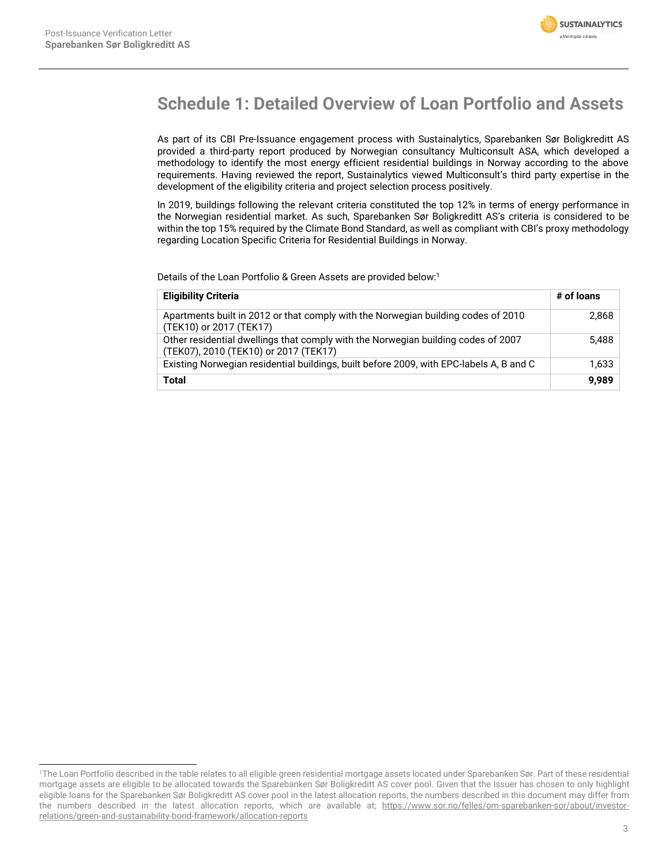

## **Schedule 1: Detailed Overview of Loan Portfolio and Assets**

As part of its CBI Pre-Issuance engagement process with Sustainalytics, Sparebanken Sør Boligkreditt AS provided a third-party report produced by Norwegian consultancy Multiconsult ASA, which developed a methodology to identify the most energy efficient residential buildings in Norway according to the above requirements. Having reviewed the report, Sustainalytics viewed Multiconsult's third party expertise in the development of the eligibility criteria and project selection process positively.

In 2019, buildings following the relevant criteria constituted the top 12% in terms of energy performance in the Norwegian residential market. As such, Sparebanken Sør Boligkreditt AS's criteria is considered to be within the top 15% required by the Climate Bond Standard, as well as compliant with CBI's proxy methodology regarding Location Specific Criteria for Residential Buildings in Norway.

Details of the Loan Portfolio & Green Assets are provided below:<sup>1</sup>

| <b>Eligibility Criteria</b>                                                                                                | # of loans |
|----------------------------------------------------------------------------------------------------------------------------|------------|
| Apartments built in 2012 or that comply with the Norwegian building codes of 2010<br>(TEK10) or 2017 (TEK17)               | 2,868      |
| Other residential dwellings that comply with the Norwegian building codes of 2007<br>(TEK07), 2010 (TEK10) or 2017 (TEK17) | 5,488      |
| Existing Norwegian residential buildings, built before 2009, with EPC-labels A, B and C                                    | 1,633      |
| Total                                                                                                                      | 9.989      |

<sup>1</sup>The Loan Portfolio described in the table relates to all eligible green residential mortgage assets located under Sparebanken Sør. Part of these residential mortgage assets are eligible to be allocated towards the Sparebanken Sør Boligkreditt AS cover pool. Given that the Issuer has chosen to only highlight eligible loans for the Sparebanken Sør Boligkreditt AS cover pool in the latest allocation reports, the numbers described in this document may differ from the numbers described in the latest allocation reports, which are available at; [https://www.sor.no/felles/om-sparebanken-sor/about/investor](https://www.sor.no/felles/om-sparebanken-sor/about/investor-relations/green-and-sustainability-bond-framework/allocation-reports)[relations/green-and-sustainability-bond-framework/allocation-reports](https://www.sor.no/felles/om-sparebanken-sor/about/investor-relations/green-and-sustainability-bond-framework/allocation-reports)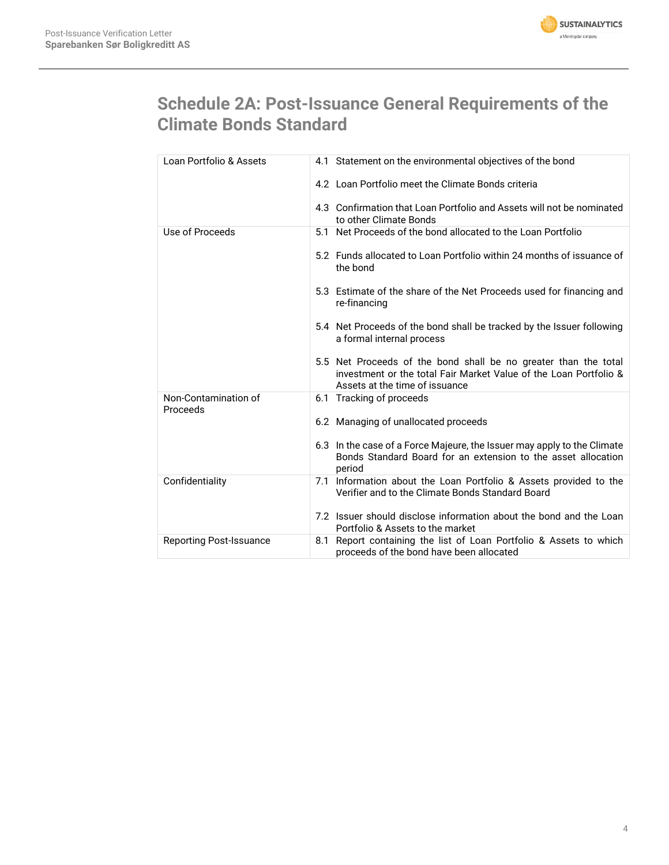

# **Schedule 2A: Post-Issuance General Requirements of the Climate Bonds Standard**

| Loan Portfolio & Assets          | 4.1 Statement on the environmental objectives of the bond                                                                                                              |
|----------------------------------|------------------------------------------------------------------------------------------------------------------------------------------------------------------------|
|                                  | 4.2 Loan Portfolio meet the Climate Bonds criteria                                                                                                                     |
|                                  | 4.3 Confirmation that Loan Portfolio and Assets will not be nominated<br>to other Climate Bonds                                                                        |
| Use of Proceeds                  | 5.1 Net Proceeds of the bond allocated to the Loan Portfolio                                                                                                           |
|                                  | 5.2 Funds allocated to Loan Portfolio within 24 months of issuance of<br>the bond                                                                                      |
|                                  | 5.3 Estimate of the share of the Net Proceeds used for financing and<br>re-financing                                                                                   |
|                                  | 5.4 Net Proceeds of the bond shall be tracked by the Issuer following<br>a formal internal process                                                                     |
|                                  | 5.5 Net Proceeds of the bond shall be no greater than the total<br>investment or the total Fair Market Value of the Loan Portfolio &<br>Assets at the time of issuance |
| Non-Contamination of<br>Proceeds | 6.1 Tracking of proceeds                                                                                                                                               |
|                                  | 6.2 Managing of unallocated proceeds                                                                                                                                   |
|                                  | 6.3 In the case of a Force Majeure, the Issuer may apply to the Climate<br>Bonds Standard Board for an extension to the asset allocation<br>period                     |
| Confidentiality                  | 7.1 Information about the Loan Portfolio & Assets provided to the<br>Verifier and to the Climate Bonds Standard Board                                                  |
|                                  | 7.2 Issuer should disclose information about the bond and the Loan<br>Portfolio & Assets to the market                                                                 |
| <b>Reporting Post-Issuance</b>   | 8.1 Report containing the list of Loan Portfolio & Assets to which<br>proceeds of the bond have been allocated                                                         |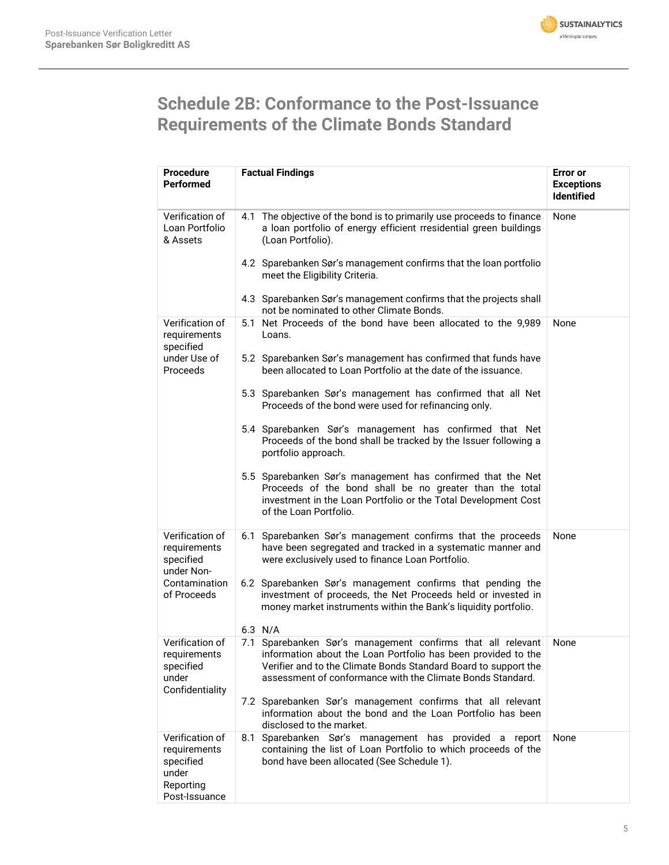

## **Schedule 2B: Conformance to the Post-Issuance Requirements of the Climate Bonds Standard**

| <b>Procedure</b><br>Performed                                                       | <b>Factual Findings</b>                                                                                                                                                                                                                                       | <b>Error</b> or<br><b>Exceptions</b><br><b>Identified</b> |
|-------------------------------------------------------------------------------------|---------------------------------------------------------------------------------------------------------------------------------------------------------------------------------------------------------------------------------------------------------------|-----------------------------------------------------------|
| Verification of<br>Loan Portfolio<br>& Assets                                       | 4.1 The objective of the bond is to primarily use proceeds to finance<br>a loan portfolio of energy efficient rresidential green buildings<br>(Loan Portfolio).                                                                                               | None                                                      |
|                                                                                     | 4.2 Sparebanken Sør's management confirms that the loan portfolio<br>meet the Eligibility Criteria.                                                                                                                                                           |                                                           |
|                                                                                     | 4.3 Sparebanken Sør's management confirms that the projects shall<br>not be nominated to other Climate Bonds.                                                                                                                                                 |                                                           |
| Verification of<br>requirements<br>specified                                        | 5.1 Net Proceeds of the bond have been allocated to the 9,989<br>Loans.                                                                                                                                                                                       | None                                                      |
| under Use of<br>Proceeds                                                            | 5.2 Sparebanken Sør's management has confirmed that funds have<br>been allocated to Loan Portfolio at the date of the issuance.                                                                                                                               |                                                           |
|                                                                                     | 5.3 Sparebanken Sør's management has confirmed that all Net<br>Proceeds of the bond were used for refinancing only.                                                                                                                                           |                                                           |
|                                                                                     | 5.4 Sparebanken Sør's management has confirmed that Net<br>Proceeds of the bond shall be tracked by the Issuer following a<br>portfolio approach.                                                                                                             |                                                           |
|                                                                                     | 5.5 Sparebanken Sør's management has confirmed that the Net<br>Proceeds of the bond shall be no greater than the total<br>investment in the Loan Portfolio or the Total Development Cost<br>of the Loan Portfolio.                                            |                                                           |
| Verification of<br>requirements<br>specified<br>under Non-                          | Sparebanken Sør's management confirms that the proceeds<br>6.1<br>have been segregated and tracked in a systematic manner and<br>were exclusively used to finance Loan Portfolio.                                                                             | None                                                      |
| Contamination<br>of Proceeds                                                        | 6.2 Sparebanken Sør's management confirms that pending the<br>investment of proceeds, the Net Proceeds held or invested in<br>money market instruments within the Bank's liquidity portfolio.                                                                 |                                                           |
|                                                                                     | $6.3$ N/A                                                                                                                                                                                                                                                     |                                                           |
| Verification of<br>requirements<br>specified<br>under<br>Confidentiality            | 7.1 Sparebanken Sør's management confirms that all relevant<br>information about the Loan Portfolio has been provided to the<br>Verifier and to the Climate Bonds Standard Board to support the<br>assessment of conformance with the Climate Bonds Standard. | None                                                      |
|                                                                                     | 7.2 Sparebanken Sør's management confirms that all relevant<br>information about the bond and the Loan Portfolio has been<br>disclosed to the market.                                                                                                         |                                                           |
| Verification of<br>requirements<br>specified<br>under<br>Reporting<br>Post-Issuance | Sparebanken Sør's management has provided a report<br>8.1<br>containing the list of Loan Portfolio to which proceeds of the<br>bond have been allocated (See Schedule 1).                                                                                     | None                                                      |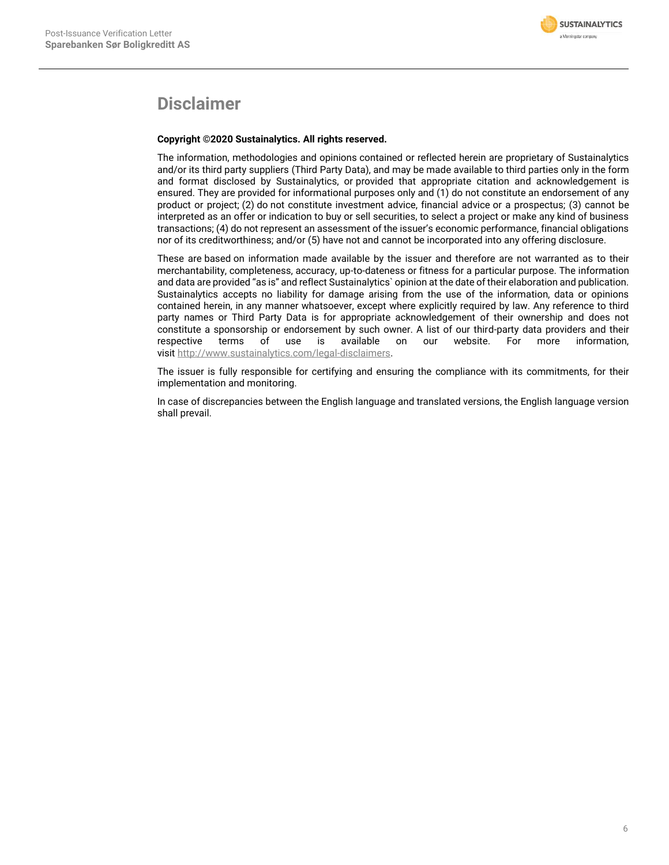

### **Disclaimer**

### **Copyright ©2020 Sustainalytics. All rights reserved.**

The information, methodologies and opinions contained or reflected herein are proprietary of Sustainalytics and/or its third party suppliers (Third Party Data), and may be made available to third parties only in the form and format disclosed by Sustainalytics, or provided that appropriate citation and acknowledgement is ensured. They are provided for informational purposes only and (1) do not constitute an endorsement of any product or project; (2) do not constitute investment advice, financial advice or a prospectus; (3) cannot be interpreted as an offer or indication to buy or sell securities, to select a project or make any kind of business transactions; (4) do not represent an assessment of the issuer's economic performance, financial obligations nor of its creditworthiness; and/or (5) have not and cannot be incorporated into any offering disclosure.

These are based on information made available by the issuer and therefore are not warranted as to their merchantability, completeness, accuracy, up-to-dateness or fitness for a particular purpose. The information and data are provided "as is" and reflect Sustainalytics` opinion at the date of their elaboration and publication. Sustainalytics accepts no liability for damage arising from the use of the information, data or opinions contained herein, in any manner whatsoever, except where explicitly required by law. Any reference to third party names or Third Party Data is for appropriate acknowledgement of their ownership and does not constitute a sponsorship or endorsement by such owner. A list of our third-party data providers and their<br>respective terms of use is available on our website. For more information. respective terms of use is available on our website. For more information, visit [http://www.sustainalytics.com/legal-disclaimers.](http://www.sustainalytics.com/legal-disclaimers)

The issuer is fully responsible for certifying and ensuring the compliance with its commitments, for their implementation and monitoring.

In case of discrepancies between the English language and translated versions, the English language version shall prevail.